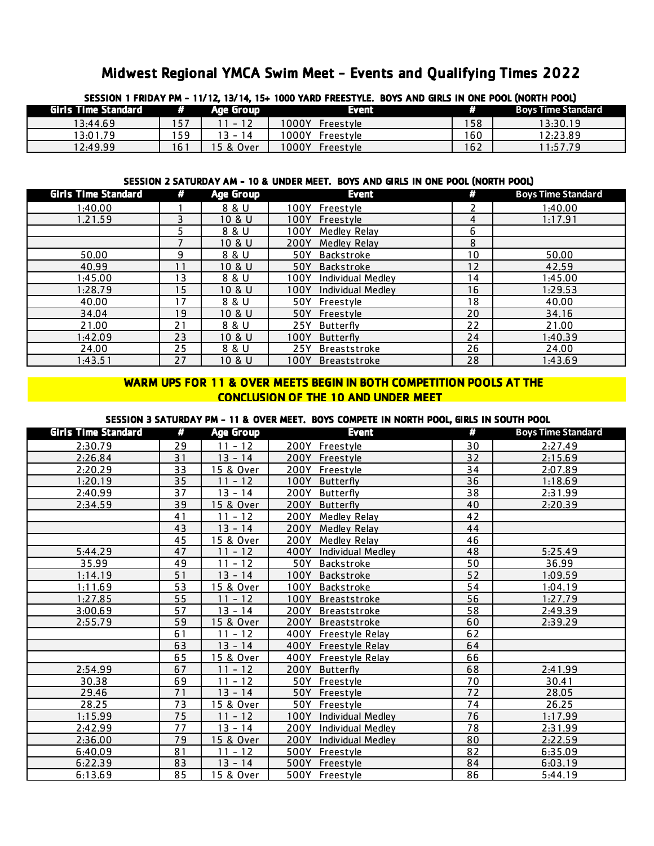# Midwest Regional YMCA Swim Meet - Events and Qualifying Times 2022

| 3E33IUN I FRIDAT PM - TI/ IZ, I3/ 14, I3+ IUUU TARD FREESTTLE, DUTS AND GIRLS IN UNE PUUL (NURTH PUUL) |      |           |                        |     |                           |
|--------------------------------------------------------------------------------------------------------|------|-----------|------------------------|-----|---------------------------|
| Girls Time Standard # Age Group                                                                        |      |           | Event                  | Đ   | <b>Boys Time Standard</b> |
| 13:44.69                                                                                               | 157  | 11 - 12   | 1000Y Freestyle        | 158 | 13:30.19                  |
| 13:01.79                                                                                               | 59 ا | $13 - 14$ | 1000Y Freestyle        | 160 | 12:23.89                  |
| 12:49.99                                                                                               | 161  | 5 & Over  | $1000Y$ .<br>Freestyle | 162 | 1:57.79                   |

## SESSION 1 FRIDAY PM - 11/12, 13/14, 15+ 1000 YARD FREESTYLE. BOYS AND GIRLS IN ONE POOL (NORTH POOL)

#### SESSION 2 SATURDAY AM - 10 & UNDER MEET. BOYS AND GIRLS IN ONE POOL (NORTH POOL)

| <b>Girls Time Standard</b> | W.              | Age Group | <b>Event</b>                     | #  | <b>Boys Time Standard</b> |
|----------------------------|-----------------|-----------|----------------------------------|----|---------------------------|
| 1:40.00                    |                 | 8 & U     | 100Y<br><b>Freestyle</b>         | 2  | 1:40.00                   |
| 1.21.59                    |                 | 10 & U    | 100Y<br>Freestyle                | 4  | 1:17.91                   |
|                            | 5               | 8 & U     | 100Y<br><b>Medley Relay</b>      | 6  |                           |
|                            |                 | 10 & U    | 200Y<br>Medley Relay             | 8  |                           |
| 50.00                      | 9               | 8 & U     | 50Y<br>Backstroke                | 10 | 50.00                     |
| 40.99                      | 11              | 10 & U    | 50Y<br><b>Backstroke</b>         | 12 | 42.59                     |
| 1:45.00                    | 13              | 8 & U     | <b>Individual Medley</b><br>100Y | 14 | 1:45.00                   |
| 1:28.79                    | 15 <sub>1</sub> | 10 & U    | <b>Individual Medlev</b><br>100Y | 16 | 1:29.53                   |
| 40.00                      | 17              | 8 & U     | 50Y<br>Freestyle                 | 18 | 40.00                     |
| 34.04                      | 19              | 10 & U    | 50Y<br>Freestyle                 | 20 | 34.16                     |
| 21.00                      | 21              | 8 & U     | 25Y<br>Butterfly                 | 22 | 21.00                     |
| 1:42.09                    | 23              | 10 & U    | 100Y<br><b>Butterfly</b>         | 24 | 1:40.39                   |
| 24.00                      | 25              | 8 & U     | 25Y<br>Breaststroke              | 26 | 24.00                     |
| 1:43.51                    | 27              | 10 & U    | 100Y<br><b>Breaststroke</b>      | 28 | 1:43.69                   |

### WARM UPS FOR 11 & OVER MEETS BEGIN IN BOTH COMPETITION POOLS AT THE CONCLUSION OF THE 10 AND UNDER MEET

#### SESSION 3 SATURDAY PM - 11 & OVER MEET. BOYS COMPETE IN NORTH POOL, GIRLS IN SOUTH POOL

| <b>Girls Time Standard</b> | #  | <b>Age Group</b> | <b>Event</b>                     | W  | <b>Boys Time Standard</b> |
|----------------------------|----|------------------|----------------------------------|----|---------------------------|
| 2:30.79                    | 29 | $11 - 12$        | 200Y Freestyle                   | 30 | 2:27.49                   |
| 2:26.84                    | 31 | $13 - 14$        | 200Y Freestyle                   | 32 | 2:15.69                   |
| 2:20.29                    | 33 | 15 & Over        | 200Y<br>Freestyle                | 34 | 2:07.89                   |
| 1:20.19                    | 35 | $11 - 12$        | 100Y Butterfly                   | 36 | 1:18.69                   |
| 2:40.99                    | 37 | $13 - 14$        | 200Y<br><b>Butterfly</b>         | 38 | 2:31.99                   |
| 2:34.59                    | 39 | 15 & Over        | 200Y<br><b>Butterfly</b>         | 40 | 2:20.39                   |
|                            | 41 | $11 - 12$        | 200Y<br>Medley Relay             | 42 |                           |
|                            | 43 | $13 - 14$        | 200Y<br><b>Medley Relay</b>      | 44 |                           |
|                            | 45 | 15 & Over        | 200Y<br>Medley Relay             | 46 |                           |
| 5:44.29                    | 47 | $11 - 12$        | 400Y<br><b>Individual Medley</b> | 48 | 5:25.49                   |
| 35.99                      | 49 | $11 - 12$        | 50Y<br>Backstroke                | 50 | 36.99                     |
| 1:14.19                    | 51 | $13 - 14$        | 100Y<br><b>Backstroke</b>        | 52 | 1:09.59                   |
| 1:11.69                    | 53 | 15 & Over        | 100Y<br><b>Backstroke</b>        | 54 | 1:04.19                   |
| 1:27.85                    | 55 | $11 - 12$        | 100Y<br><b>Breaststroke</b>      | 56 | 1:27.79                   |
| 3:00.69                    | 57 | $13 - 14$        | 200Y<br><b>Breaststroke</b>      | 58 | 2:49.39                   |
| 2:55.79                    | 59 | 15 & Over        | 200Y<br><b>Breaststroke</b>      | 60 | 2:39.29                   |
|                            | 61 | $11 - 12$        | 400Y Freestyle Relay             | 62 |                           |
|                            | 63 | $13 - 14$        | 400Y Freestyle Relay             | 64 |                           |
|                            | 65 | 15 & Over        | 400Y Freestyle Relay             | 66 |                           |
| 2:54.99                    | 67 | $11 - 12$        | 200Y Butterfly                   | 68 | 2:41.99                   |
| 30.38                      | 69 | $11 - 12$        | 50Y Freestyle                    | 70 | 30.41                     |
| 29.46                      | 71 | $13 - 14$        | 50Y<br>Freestyle                 | 72 | 28.05                     |
| 28.25                      | 73 | 15 & Over        | 50Y<br>Freestyle                 | 74 | 26.25                     |
| 1:15.99                    | 75 | $11 - 12$        | 100Y<br><b>Individual Medley</b> | 76 | 1:17.99                   |
| 2:42.99                    | 77 | $13 - 14$        | 200Y<br><b>Individual Medley</b> | 78 | 2:31.99                   |
| 2:36.00                    | 79 | 15 & Over        | 200Y<br><b>Individual Medley</b> | 80 | 2:22.59                   |
| 6:40.09                    | 81 | $11 - 12$        | 500Y<br>Freestyle                | 82 | 6:35.09                   |
| 6:22.39                    | 83 | $13 - 14$        | 500Y<br>Freestyle                | 84 | 6:03.19                   |
| 6:13.69                    | 85 | 15 & Over        | 500Y<br>Freestyle                | 86 | 5:44.19                   |